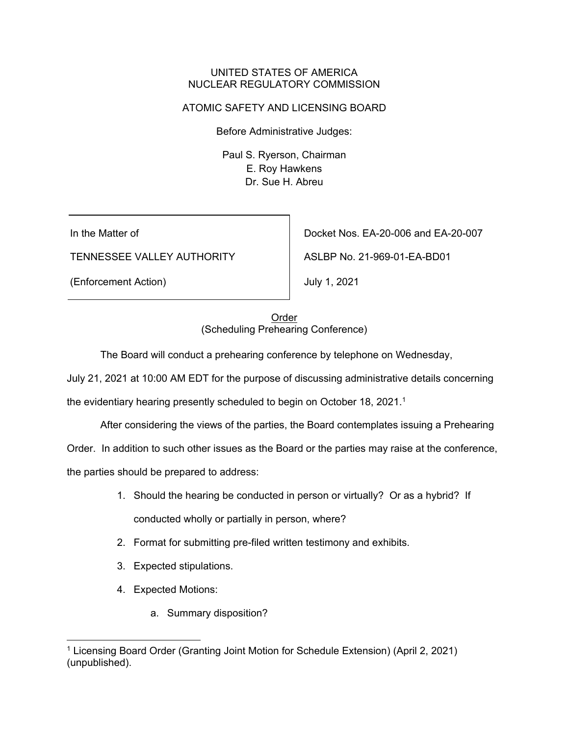## UNITED STATES OF AMERICA NUCLEAR REGULATORY COMMISSION

## ATOMIC SAFETY AND LICENSING BOARD

Before Administrative Judges:

Paul S. Ryerson, Chairman E. Roy Hawkens Dr. Sue H. Abreu

In the Matter of

TENNESSEE VALLEY AUTHORITY

(Enforcement Action)

Docket Nos. EA-20-006 and EA-20-007

ASLBP No. 21-969-01-EA-BD01

July 1, 2021

Order (Scheduling Prehearing Conference)

The Board will conduct a prehearing conference by telephone on Wednesday,

July 21, 2021 at 10:00 AM EDT for the purpose of discussing administrative details concerning

the evidentiary hearing presently scheduled to begin on October 18, 2021.<sup>1</sup>

After considering the views of the parties, the Board contemplates issuing a Prehearing

Order. In addition to such other issues as the Board or the parties may raise at the conference,

the parties should be prepared to address:

- 1. Should the hearing be conducted in person or virtually? Or as a hybrid? If conducted wholly or partially in person, where?
- 2. Format for submitting pre-filed written testimony and exhibits.
- 3. Expected stipulations.
- 4. Expected Motions:
	- a. Summary disposition?

<sup>1</sup> Licensing Board Order (Granting Joint Motion for Schedule Extension) (April 2, 2021) (unpublished).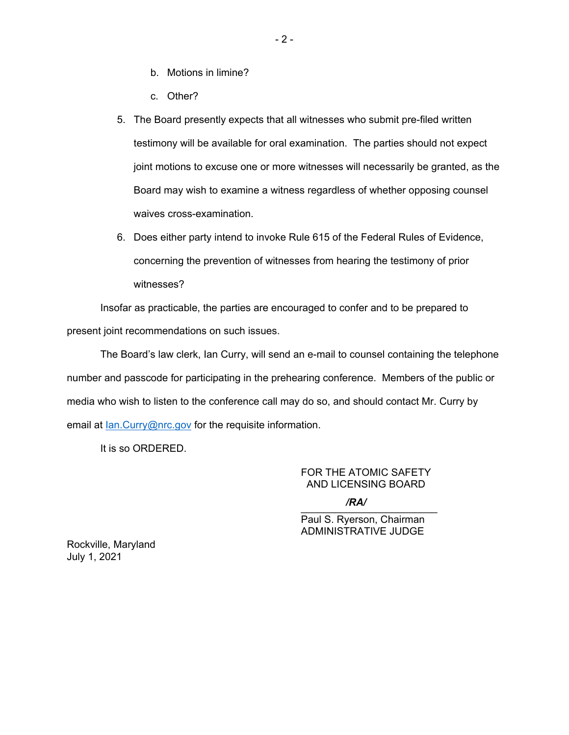- b. Motions in limine?
- c. Other?
- 5. The Board presently expects that all witnesses who submit pre-filed written testimony will be available for oral examination. The parties should not expect joint motions to excuse one or more witnesses will necessarily be granted, as the Board may wish to examine a witness regardless of whether opposing counsel waives cross-examination.
- 6. Does either party intend to invoke Rule 615 of the Federal Rules of Evidence, concerning the prevention of witnesses from hearing the testimony of prior witnesses?

Insofar as practicable, the parties are encouraged to confer and to be prepared to present joint recommendations on such issues.

The Board's law clerk, Ian Curry, will send an e-mail to counsel containing the telephone number and passcode for participating in the prehearing conference. Members of the public or media who wish to listen to the conference call may do so, and should contact Mr. Curry by email at Ian.Curry@nrc.gov for the requisite information.

It is so ORDERED.

FOR THE ATOMIC SAFETY AND LICENSING BOARD

 $\sum_{i=1}^n$ */RA/*

Paul S. Ryerson, Chairman ADMINISTRATIVE JUDGE

Rockville, Maryland July 1, 2021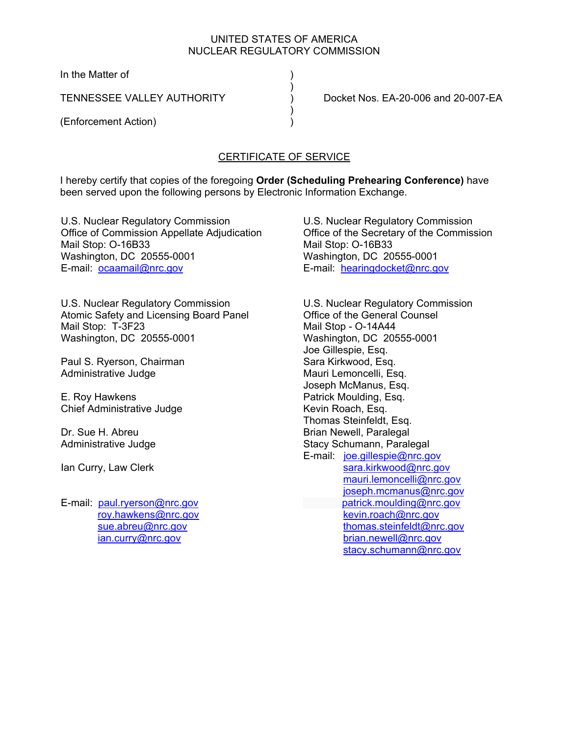## UNITED STATES OF AMERICA NUCLEAR REGULATORY COMMISSION

In the Matter of

 $)$ 

 $)$ 

(Enforcement Action) )

TENNESSEE VALLEY AUTHORITY ) Docket Nos. EA-20-006 and 20-007-EA

## CERTIFICATE OF SERVICE

I hereby certify that copies of the foregoing **Order (Scheduling Prehearing Conference)** have been served upon the following persons by Electronic Information Exchange.

U.S. Nuclear Regulatory Commission Office of Commission Appellate Adjudication Mail Stop: O-16B33 Washington, DC 20555-0001 E-mail: ocaamail@nrc.gov

U.S. Nuclear Regulatory Commission Atomic Safety and Licensing Board Panel Mail Stop: T-3F23 Washington, DC 20555-0001

Paul S. Ryerson, Chairman Administrative Judge

E. Roy Hawkens Chief Administrative Judge

Dr. Sue H. Abreu Administrative Judge

Ian Curry, Law Clerk

E-mail: paul.ryerson@nrc.gov roy.hawkens@nrc.gov sue.abreu@nrc.gov ian.curry@nrc.gov

U.S. Nuclear Regulatory Commission Office of the Secretary of the Commission Mail Stop: O-16B33 Washington, DC 20555-0001 E-mail: hearingdocket@nrc.gov

U.S. Nuclear Regulatory Commission Office of the General Counsel Mail Stop - O-14A44 Washington, DC 20555-0001 Joe Gillespie, Esq. Sara Kirkwood, Esq. Mauri Lemoncelli, Esq. Joseph McManus, Esq. Patrick Moulding, Esq. Kevin Roach, Esq. Thomas Steinfeldt, Esq. Brian Newell, Paralegal Stacy Schumann, Paralegal E-mail: joe.gillespie@nrc.gov sara.kirkwood@nrc.gov mauri.lemoncelli@nrc.gov joseph.mcmanus@nrc.gov patrick.moulding@nrc.gov kevin.roach@nrc.gov thomas.steinfeldt@nrc.gov brian.newell@nrc.gov stacy.schumann@nrc.gov